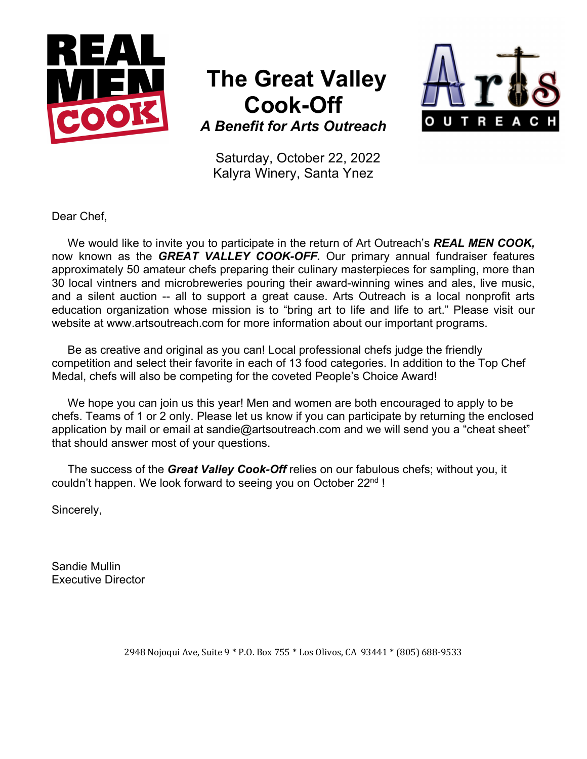

## **The Great Valley Cook-Off**



*A Benefit for Arts Outreach*

Saturday, October 22, 2022 Kalyra Winery, Santa Ynez

Dear Chef,

 We would like to invite you to participate in the return of Art Outreach's *REAL MEN COOK,*  now known as the *GREAT VALLEY COOK-OFF***.** Our primary annual fundraiser features approximately 50 amateur chefs preparing their culinary masterpieces for sampling, more than 30 local vintners and microbreweries pouring their award-winning wines and ales, live music, and a silent auction -- all to support a great cause. Arts Outreach is a local nonprofit arts education organization whose mission is to "bring art to life and life to art." Please visit our website at www.artsoutreach.com for more information about our important programs.

 Be as creative and original as you can! Local professional chefs judge the friendly competition and select their favorite in each of 13 food categories. In addition to the Top Chef Medal, chefs will also be competing for the coveted People's Choice Award!

 We hope you can join us this year! Men and women are both encouraged to apply to be chefs. Teams of 1 or 2 only. Please let us know if you can participate by returning the enclosed application by mail or email at sandie@artsoutreach.com and we will send you a "cheat sheet" that should answer most of your questions.

 The success of the *Great Valley Cook-Off* relies on our fabulous chefs; without you, it couldn't happen. We look forward to seeing you on October 22nd !

Sincerely,

Sandie Mullin Executive Director